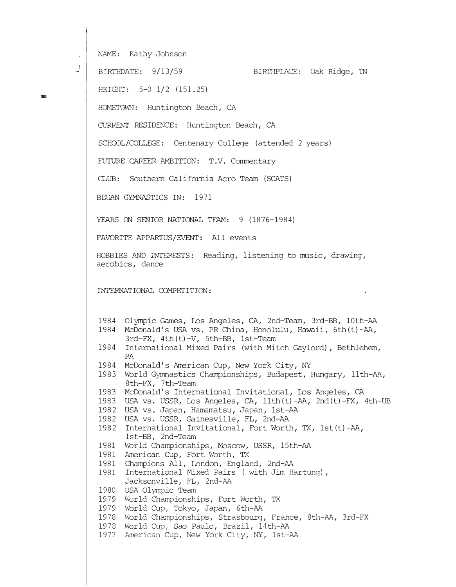NAME: Kathy Johnson

 $\begin{matrix} \downarrow \downarrow \downarrow \end{matrix}$ 

-

BIRTHDATE: 9/13/59 BIRTHPLACE: Oak Ridge, 'IN

HEIGHT: 5-0 1/2 (151.25)

HCMETCWN: Huntington Beach, CA

OJRRENT RESIDENCE: Huntington Beach, CA

SCHOOL/COLLEGE: Centenary College (attended 2 years)

FUTURE CAREER AMBITION: T.V. Comnentary

CLUB: Southern california Aero Team (SCATS)

BEGAN GYMNASTICS IN: 1971

YEARS ON SENIOR NATIONAL TEAM: 9 (1876-1984)

FAVORITE APPARTUS/EVENT: All events

HOBBIES AND INI'ERESTS: Reading, listening to music, drawing, aerobics, dance

INTERNATIONAL CCMPETITION:

1984 Olympic Games, Los Angeles, CA, 2nd-Team, 3rd-BB, 10th-AA 1984 McDonald's USA vs. PR China, Honolulu, Hawaii, 6th(t)-AA, 3rd-FX, 4th(t)-V, 5th-BB, 1st-Team

- 1984 International Mixed Pairs (with Mitch Gaylord), Bethlehem, PA
- 1984 McDonald's American Cup, New York City, NY
- 1983 World Gymnastics Championships, Budapest, Hungary, 11th-AA, 8th-FX, 7th-Team
- 1983 McDonald's International Invitational, Los Angeles, CA
- 1983 USA vs. USSR, Los Angeles, CA, llth(t)-AA, 2nd(t)-FX, 4th-UB
- 1982 USA vs. Japan, Hamamatsu, Japan, 1st-AA
- 1982 USA vs. USSR, Gainesville, FL, 2nd-AA
- 1982 International Invitational, Fort Worth, TX, lst(t)-AA, 1st-BB, 2nd-Team
- 1981 World Championships, Moscow, USSR, 15th-AA
- 1981 American Cup, Fort Worth, TX
- 1981 Champions All, London, England, 2nd-AA
- 1981 International Mixed Pairs ( with Jim Hartung), Jacksonville, FL, 2nd-AA
- 1980 USA Olympic Team
- 1979 World Championships, Fort Worth, TX
- 1979 World Cup, Tokyo, Japan, 6th-AA
- 1978 World Championships, Strasbourg, France, 8th-AA, 3rd-FX
- 1978 World Cup, Sao Paulo, Brazil, 14th-AA
- 1977 American Cup, New York City, NY, 1st-AA